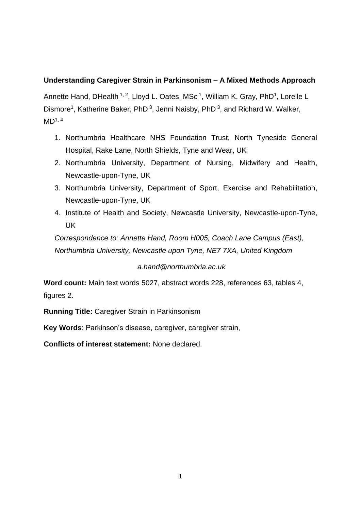# **Understanding Caregiver Strain in Parkinsonism – A Mixed Methods Approach**

Annette Hand, DHealth <sup>1, 2</sup>, Lloyd L. Oates, MSc <sup>1</sup>, William K. Gray, PhD<sup>1</sup>, Lorelle L Dismore<sup>1</sup>, Katherine Baker, PhD<sup>3</sup>, Jenni Naisby, PhD<sup>3</sup>, and Richard W. Walker,  $MD<sup>1, 4</sup>$ 

- 1. Northumbria Healthcare NHS Foundation Trust, North Tyneside General Hospital, Rake Lane, North Shields, Tyne and Wear, UK
- 2. Northumbria University, Department of Nursing, Midwifery and Health, Newcastle-upon-Tyne, UK
- 3. Northumbria University, Department of Sport, Exercise and Rehabilitation, Newcastle-upon-Tyne, UK
- 4. Institute of Health and Society, Newcastle University, Newcastle-upon-Tyne, UK

*Correspondence to: Annette Hand, Room H005, Coach Lane Campus (East), Northumbria University, Newcastle upon Tyne, NE7 7XA, United Kingdom*

# *a.hand@northumbria.ac.uk*

**Word count:** Main text words 5027, abstract words 228, references 63, tables 4, figures 2.

**Running Title:** Caregiver Strain in Parkinsonism

**Key Words**: Parkinson's disease, caregiver, caregiver strain,

**Conflicts of interest statement:** None declared.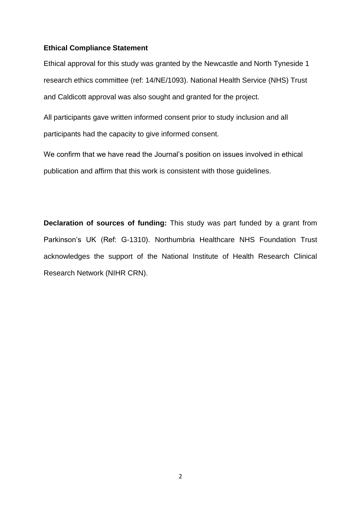#### **Ethical Compliance Statement**

Ethical approval for this study was granted by the Newcastle and North Tyneside 1 research ethics committee (ref: 14/NE/1093). National Health Service (NHS) Trust and Caldicott approval was also sought and granted for the project.

All participants gave written informed consent prior to study inclusion and all participants had the capacity to give informed consent.

We confirm that we have read the Journal's position on issues involved in ethical publication and affirm that this work is consistent with those guidelines.

**Declaration of sources of funding:** This study was part funded by a grant from Parkinson's UK (Ref: G-1310). Northumbria Healthcare NHS Foundation Trust acknowledges the support of the National Institute of Health Research Clinical Research Network (NIHR CRN).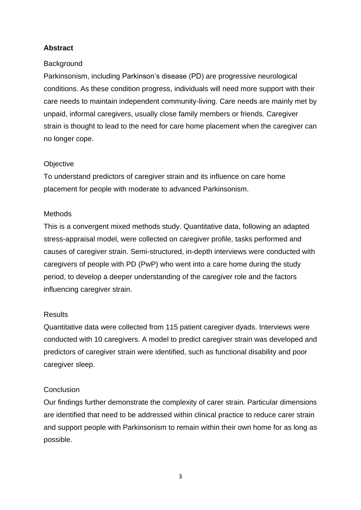# **Abstract**

## **Background**

Parkinsonism, including Parkinson's disease (PD) are progressive neurological conditions. As these condition progress, individuals will need more support with their care needs to maintain independent community-living. Care needs are mainly met by unpaid, informal caregivers, usually close family members or friends. Caregiver strain is thought to lead to the need for care home placement when the caregiver can no longer cope.

## **Objective**

To understand predictors of caregiver strain and its influence on care home placement for people with moderate to advanced Parkinsonism.

## Methods

This is a convergent mixed methods study. Quantitative data, following an adapted stress-appraisal model, were collected on caregiver profile, tasks performed and causes of caregiver strain. Semi-structured, in-depth interviews were conducted with caregivers of people with PD (PwP) who went into a care home during the study period, to develop a deeper understanding of the caregiver role and the factors influencing caregiver strain.

# Results

Quantitative data were collected from 115 patient caregiver dyads. Interviews were conducted with 10 caregivers. A model to predict caregiver strain was developed and predictors of caregiver strain were identified, such as functional disability and poor caregiver sleep.

# **Conclusion**

Our findings further demonstrate the complexity of carer strain. Particular dimensions are identified that need to be addressed within clinical practice to reduce carer strain and support people with Parkinsonism to remain within their own home for as long as possible.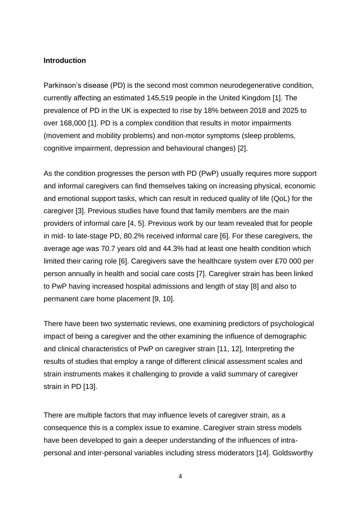### **Introduction**

Parkinson's disease (PD) is the second most common neurodegenerative condition, currently affecting an estimated 145,519 people in the United Kingdom [1]. The prevalence of PD in the UK is expected to rise by 18% between 2018 and 2025 to over 168,000 [1]. PD is a complex condition that results in motor impairments (movement and mobility problems) and non-motor symptoms (sleep problems, cognitive impairment, depression and behavioural changes) [2].

As the condition progresses the person with PD (PwP) usually requires more support and informal caregivers can find themselves taking on increasing physical, economic and emotional support tasks, which can result in reduced quality of life (QoL) for the caregiver [3]. Previous studies have found that family members are the main providers of informal care [4, 5]. Previous work by our team revealed that for people in mid- to late-stage PD, 80.2% received informal care [6]. For these caregivers, the average age was 70.7 years old and 44.3% had at least one health condition which limited their caring role [6]. Caregivers save the healthcare system over £70 000 per person annually in health and social care costs [7]. Caregiver strain has been linked to PwP having increased hospital admissions and length of stay [8] and also to permanent care home placement [9, 10].

There have been two systematic reviews, one examining predictors of psychological impact of being a caregiver and the other examining the influence of demographic and clinical characteristics of PwP on caregiver strain [11, 12], Interpreting the results of studies that employ a range of different clinical assessment scales and strain instruments makes it challenging to provide a valid summary of caregiver strain in PD [13].

There are multiple factors that may influence levels of caregiver strain, as a consequence this is a complex issue to examine. Caregiver strain stress models have been developed to gain a deeper understanding of the influences of intrapersonal and inter-personal variables including stress moderators [14]. Goldsworthy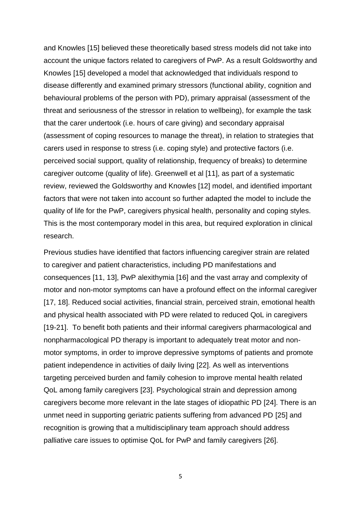and Knowles [15] believed these theoretically based stress models did not take into account the unique factors related to caregivers of PwP. As a result Goldsworthy and Knowles [15] developed a model that acknowledged that individuals respond to disease differently and examined primary stressors (functional ability, cognition and behavioural problems of the person with PD), primary appraisal (assessment of the threat and seriousness of the stressor in relation to wellbeing), for example the task that the carer undertook (i.e. hours of care giving) and secondary appraisal (assessment of coping resources to manage the threat), in relation to strategies that carers used in response to stress (i.e. coping style) and protective factors (i.e. perceived social support, quality of relationship, frequency of breaks) to determine caregiver outcome (quality of life). Greenwell et al [11], as part of a systematic review, reviewed the Goldsworthy and Knowles [12] model, and identified important factors that were not taken into account so further adapted the model to include the quality of life for the PwP, caregivers physical health, personality and coping styles. This is the most contemporary model in this area, but required exploration in clinical research.

Previous studies have identified that factors influencing caregiver strain are related to caregiver and patient characteristics, including PD manifestations and consequences [11, 13], PwP alexithymia [16] and the vast array and complexity of motor and non-motor symptoms can have a profound effect on the informal caregiver [17, 18]. Reduced social activities, financial strain, perceived strain, emotional health and physical health associated with PD were related to reduced QoL in caregivers [19-21]. To benefit both patients and their informal caregivers pharmacological and nonpharmacological PD therapy is important to adequately treat motor and nonmotor symptoms, in order to improve depressive symptoms of patients and promote patient independence in activities of daily living [22]. As well as interventions targeting perceived burden and family cohesion to improve mental health related QoL among family caregivers [23]. Psychological strain and depression among caregivers become more relevant in the late stages of idiopathic PD [24]. There is an unmet need in supporting geriatric patients suffering from advanced PD [25] and recognition is growing that a multidisciplinary team approach should address palliative care issues to optimise QoL for PwP and family caregivers [26].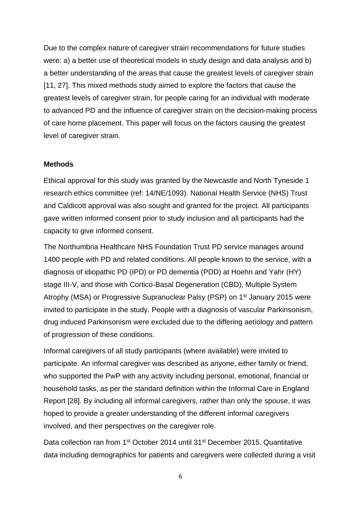Due to the complex nature of caregiver strain recommendations for future studies were: a) a better use of theoretical models in study design and data analysis and b) a better understanding of the areas that cause the greatest levels of caregiver strain [11, 27]. This mixed methods study aimed to explore the factors that cause the greatest levels of caregiver strain, for people caring for an individual with moderate to advanced PD and the influence of caregiver strain on the decision-making process of care home placement. This paper will focus on the factors causing the greatest level of caregiver strain.

#### **Methods**

Ethical approval for this study was granted by the Newcastle and North Tyneside 1 research ethics committee (ref: 14/NE/1093). National Health Service (NHS) Trust and Caldicott approval was also sought and granted for the project. All participants gave written informed consent prior to study inclusion and all participants had the capacity to give informed consent.

The Northumbria Healthcare NHS Foundation Trust PD service manages around 1400 people with PD and related conditions. All people known to the service, with a diagnosis of idiopathic PD (IPD) or PD dementia (PDD) at Hoehn and Yahr (HY) stage III-V, and those with Cortico-Basal Degeneration (CBD), Multiple System Atrophy (MSA) or Progressive Supranuclear Palsy (PSP) on 1<sup>st</sup> January 2015 were invited to participate in the study. People with a diagnosis of vascular Parkinsonism, drug induced Parkinsonism were excluded due to the differing aetiology and pattern of progression of these conditions.

Informal caregivers of all study participants (where available) were invited to participate. An informal caregiver was described as anyone, either family or friend, who supported the PwP with any activity including personal, emotional, financial or household tasks, as per the standard definition within the Informal Care in England Report [28]. By including all informal caregivers, rather than only the spouse, it was hoped to provide a greater understanding of the different informal caregivers involved, and their perspectives on the caregiver role.

Data collection ran from 1<sup>st</sup> October 2014 until 31<sup>st</sup> December 2015. Quantitative data including demographics for patients and caregivers were collected during a visit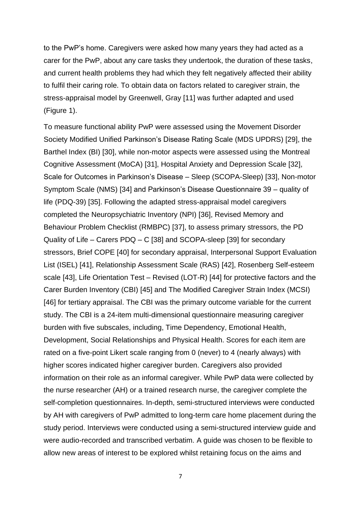to the PwP's home. Caregivers were asked how many years they had acted as a carer for the PwP, about any care tasks they undertook, the duration of these tasks, and current health problems they had which they felt negatively affected their ability to fulfil their caring role. To obtain data on factors related to caregiver strain, the stress-appraisal model by Greenwell, Gray [11] was further adapted and used (Figure 1).

To measure functional ability PwP were assessed using the Movement Disorder Society Modified Unified Parkinson's Disease Rating Scale (MDS UPDRS) [29], the Barthel Index (BI) [30], while non-motor aspects were assessed using the Montreal Cognitive Assessment (MoCA) [31], Hospital Anxiety and Depression Scale [32], Scale for Outcomes in Parkinson's Disease – Sleep (SCOPA-Sleep) [33], Non-motor Symptom Scale (NMS) [34] and Parkinson's Disease Questionnaire 39 – quality of life (PDQ-39) [35]. Following the adapted stress-appraisal model caregivers completed the Neuropsychiatric Inventory (NPI) [36], Revised Memory and Behaviour Problem Checklist (RMBPC) [37], to assess primary stressors, the PD Quality of Life – Carers PDQ – C [38] and SCOPA-sleep [39] for secondary stressors, Brief COPE [40] for secondary appraisal, Interpersonal Support Evaluation List (ISEL) [41], Relationship Assessment Scale (RAS) [42], Rosenberg Self-esteem scale [43], Life Orientation Test – Revised (LOT-R) [44] for protective factors and the Carer Burden Inventory (CBI) [45] and The Modified Caregiver Strain Index (MCSI) [46] for tertiary appraisal. The CBI was the primary outcome variable for the current study. The CBI is a 24-item multi-dimensional questionnaire measuring caregiver burden with five subscales, including, Time Dependency, Emotional Health, Development, Social Relationships and Physical Health. Scores for each item are rated on a five-point Likert scale ranging from 0 (never) to 4 (nearly always) with higher scores indicated higher caregiver burden. Caregivers also provided information on their role as an informal caregiver. While PwP data were collected by the nurse researcher (AH) or a trained research nurse, the caregiver complete the self-completion questionnaires. In-depth, semi-structured interviews were conducted by AH with caregivers of PwP admitted to long-term care home placement during the study period. Interviews were conducted using a semi-structured interview guide and were audio-recorded and transcribed verbatim. A guide was chosen to be flexible to allow new areas of interest to be explored whilst retaining focus on the aims and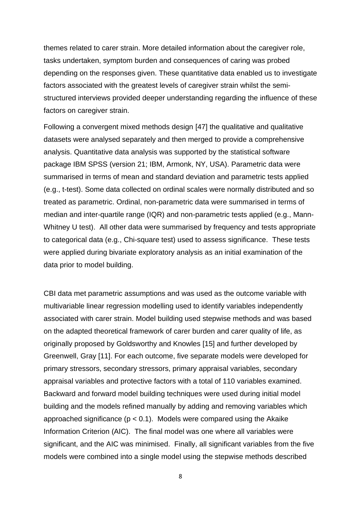themes related to carer strain. More detailed information about the caregiver role, tasks undertaken, symptom burden and consequences of caring was probed depending on the responses given. These quantitative data enabled us to investigate factors associated with the greatest levels of caregiver strain whilst the semistructured interviews provided deeper understanding regarding the influence of these factors on caregiver strain.

Following a convergent mixed methods design [47] the qualitative and qualitative datasets were analysed separately and then merged to provide a comprehensive analysis. Quantitative data analysis was supported by the statistical software package IBM SPSS (version 21; IBM, Armonk, NY, USA). Parametric data were summarised in terms of mean and standard deviation and parametric tests applied (e.g., t-test). Some data collected on ordinal scales were normally distributed and so treated as parametric. Ordinal, non-parametric data were summarised in terms of median and inter-quartile range (IQR) and non-parametric tests applied (e.g., Mann-Whitney U test). All other data were summarised by frequency and tests appropriate to categorical data (e.g., Chi-square test) used to assess significance. These tests were applied during bivariate exploratory analysis as an initial examination of the data prior to model building.

CBI data met parametric assumptions and was used as the outcome variable with multivariable linear regression modelling used to identify variables independently associated with carer strain. Model building used stepwise methods and was based on the adapted theoretical framework of carer burden and carer quality of life, as originally proposed by Goldsworthy and Knowles [15] and further developed by Greenwell, Gray [11]. For each outcome, five separate models were developed for primary stressors, secondary stressors, primary appraisal variables, secondary appraisal variables and protective factors with a total of 110 variables examined. Backward and forward model building techniques were used during initial model building and the models refined manually by adding and removing variables which approached significance ( $p < 0.1$ ). Models were compared using the Akaike Information Criterion (AIC). The final model was one where all variables were significant, and the AIC was minimised. Finally, all significant variables from the five models were combined into a single model using the stepwise methods described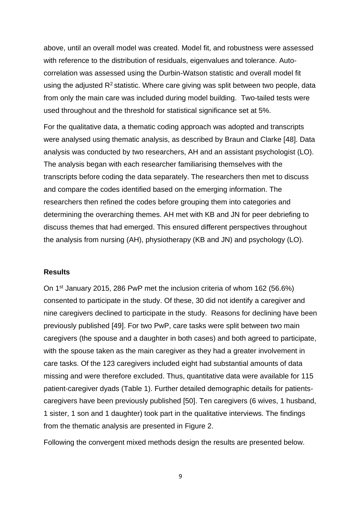above, until an overall model was created. Model fit, and robustness were assessed with reference to the distribution of residuals, eigenvalues and tolerance. Autocorrelation was assessed using the Durbin-Watson statistic and overall model fit using the adjusted  $R^2$  statistic. Where care giving was split between two people, data from only the main care was included during model building. Two-tailed tests were used throughout and the threshold for statistical significance set at 5%.

For the qualitative data, a thematic coding approach was adopted and transcripts were analysed using thematic analysis, as described by Braun and Clarke [48]. Data analysis was conducted by two researchers, AH and an assistant psychologist (LO). The analysis began with each researcher familiarising themselves with the transcripts before coding the data separately. The researchers then met to discuss and compare the codes identified based on the emerging information. The researchers then refined the codes before grouping them into categories and determining the overarching themes. AH met with KB and JN for peer debriefing to discuss themes that had emerged. This ensured different perspectives throughout the analysis from nursing (AH), physiotherapy (KB and JN) and psychology (LO).

#### **Results**

On 1st January 2015, 286 PwP met the inclusion criteria of whom 162 (56.6%) consented to participate in the study. Of these, 30 did not identify a caregiver and nine caregivers declined to participate in the study. Reasons for declining have been previously published [49]. For two PwP, care tasks were split between two main caregivers (the spouse and a daughter in both cases) and both agreed to participate, with the spouse taken as the main caregiver as they had a greater involvement in care tasks. Of the 123 caregivers included eight had substantial amounts of data missing and were therefore excluded. Thus, quantitative data were available for 115 patient-caregiver dyads (Table 1). Further detailed demographic details for patientscaregivers have been previously published [50]. Ten caregivers (6 wives, 1 husband, 1 sister, 1 son and 1 daughter) took part in the qualitative interviews. The findings from the thematic analysis are presented in Figure 2.

Following the convergent mixed methods design the results are presented below.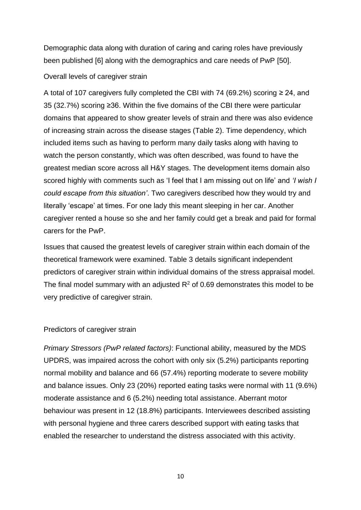Demographic data along with duration of caring and caring roles have previously been published [6] along with the demographics and care needs of PwP [50].

### Overall levels of caregiver strain

A total of 107 caregivers fully completed the CBI with 74 (69.2%) scoring  $\geq$  24, and 35 (32.7%) scoring ≥36. Within the five domains of the CBI there were particular domains that appeared to show greater levels of strain and there was also evidence of increasing strain across the disease stages (Table 2). Time dependency, which included items such as having to perform many daily tasks along with having to watch the person constantly, which was often described, was found to have the greatest median score across all H&Y stages. The development items domain also scored highly with comments such as 'I feel that I am missing out on life' and *'I wish I could escape from this situation'*. Two caregivers described how they would try and literally 'escape' at times. For one lady this meant sleeping in her car. Another caregiver rented a house so she and her family could get a break and paid for formal carers for the PwP.

Issues that caused the greatest levels of caregiver strain within each domain of the theoretical framework were examined. Table 3 details significant independent predictors of caregiver strain within individual domains of the stress appraisal model. The final model summary with an adjusted  $R^2$  of 0.69 demonstrates this model to be very predictive of caregiver strain.

### Predictors of caregiver strain

*Primary Stressors (PwP related factors)*: Functional ability, measured by the MDS UPDRS, was impaired across the cohort with only six (5.2%) participants reporting normal mobility and balance and 66 (57.4%) reporting moderate to severe mobility and balance issues. Only 23 (20%) reported eating tasks were normal with 11 (9.6%) moderate assistance and 6 (5.2%) needing total assistance. Aberrant motor behaviour was present in 12 (18.8%) participants. Interviewees described assisting with personal hygiene and three carers described support with eating tasks that enabled the researcher to understand the distress associated with this activity.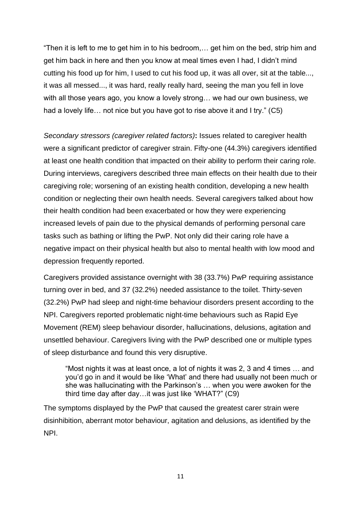"Then it is left to me to get him in to his bedroom,… get him on the bed, strip him and get him back in here and then you know at meal times even I had, I didn't mind cutting his food up for him, I used to cut his food up, it was all over, sit at the table..., it was all messed..., it was hard, really really hard, seeing the man you fell in love with all those years ago, you know a lovely strong… we had our own business, we had a lovely life… not nice but you have got to rise above it and I try." (C5)

*Secondary stressors (caregiver related factors)***:** Issues related to caregiver health were a significant predictor of caregiver strain. Fifty-one (44.3%) caregivers identified at least one health condition that impacted on their ability to perform their caring role. During interviews, caregivers described three main effects on their health due to their caregiving role; worsening of an existing health condition, developing a new health condition or neglecting their own health needs. Several caregivers talked about how their health condition had been exacerbated or how they were experiencing increased levels of pain due to the physical demands of performing personal care tasks such as bathing or lifting the PwP. Not only did their caring role have a negative impact on their physical health but also to mental health with low mood and depression frequently reported.

Caregivers provided assistance overnight with 38 (33.7%) PwP requiring assistance turning over in bed, and 37 (32.2%) needed assistance to the toilet. Thirty-seven (32.2%) PwP had sleep and night-time behaviour disorders present according to the NPI. Caregivers reported problematic night-time behaviours such as Rapid Eye Movement (REM) sleep behaviour disorder, hallucinations, delusions, agitation and unsettled behaviour. Caregivers living with the PwP described one or multiple types of sleep disturbance and found this very disruptive.

"Most nights it was at least once, a lot of nights it was 2, 3 and 4 times … and you'd go in and it would be like 'What' and there had usually not been much or she was hallucinating with the Parkinson's … when you were awoken for the third time day after day…it was just like 'WHAT?" (C9)

The symptoms displayed by the PwP that caused the greatest carer strain were disinhibition, aberrant motor behaviour, agitation and delusions, as identified by the NPI.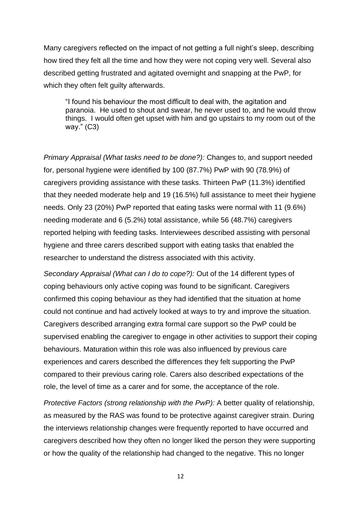Many caregivers reflected on the impact of not getting a full night's sleep, describing how tired they felt all the time and how they were not coping very well. Several also described getting frustrated and agitated overnight and snapping at the PwP, for which they often felt guilty afterwards.

"I found his behaviour the most difficult to deal with, the agitation and paranoia. He used to shout and swear, he never used to, and he would throw things. I would often get upset with him and go upstairs to my room out of the way." (C3)

*Primary Appraisal (What tasks need to be done?):* Changes to, and support needed for, personal hygiene were identified by 100 (87.7%) PwP with 90 (78.9%) of caregivers providing assistance with these tasks. Thirteen PwP (11.3%) identified that they needed moderate help and 19 (16.5%) full assistance to meet their hygiene needs. Only 23 (20%) PwP reported that eating tasks were normal with 11 (9.6%) needing moderate and 6 (5.2%) total assistance, while 56 (48.7%) caregivers reported helping with feeding tasks. Interviewees described assisting with personal hygiene and three carers described support with eating tasks that enabled the researcher to understand the distress associated with this activity.

*Secondary Appraisal (What can I do to cope?):* Out of the 14 different types of coping behaviours only active coping was found to be significant. Caregivers confirmed this coping behaviour as they had identified that the situation at home could not continue and had actively looked at ways to try and improve the situation. Caregivers described arranging extra formal care support so the PwP could be supervised enabling the caregiver to engage in other activities to support their coping behaviours. Maturation within this role was also influenced by previous care experiences and carers described the differences they felt supporting the PwP compared to their previous caring role. Carers also described expectations of the role, the level of time as a carer and for some, the acceptance of the role.

*Protective Factors (strong relationship with the PwP):* A better quality of relationship, as measured by the RAS was found to be protective against caregiver strain. During the interviews relationship changes were frequently reported to have occurred and caregivers described how they often no longer liked the person they were supporting or how the quality of the relationship had changed to the negative. This no longer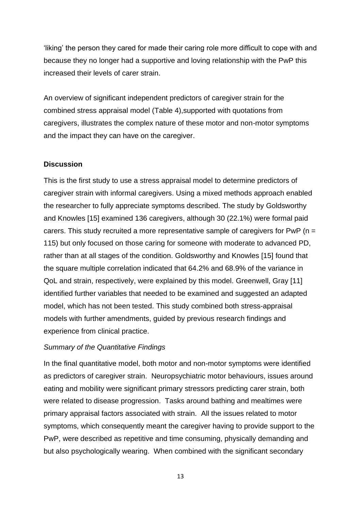'liking' the person they cared for made their caring role more difficult to cope with and because they no longer had a supportive and loving relationship with the PwP this increased their levels of carer strain.

An overview of significant independent predictors of caregiver strain for the combined stress appraisal model (Table 4),supported with quotations from caregivers, illustrates the complex nature of these motor and non-motor symptoms and the impact they can have on the caregiver.

## **Discussion**

This is the first study to use a stress appraisal model to determine predictors of caregiver strain with informal caregivers. Using a mixed methods approach enabled the researcher to fully appreciate symptoms described. The study by Goldsworthy and Knowles [15] examined 136 caregivers, although 30 (22.1%) were formal paid carers. This study recruited a more representative sample of caregivers for PwP (n = 115) but only focused on those caring for someone with moderate to advanced PD, rather than at all stages of the condition. Goldsworthy and Knowles [15] found that the square multiple correlation indicated that 64.2% and 68.9% of the variance in QoL and strain, respectively, were explained by this model. Greenwell, Gray [11] identified further variables that needed to be examined and suggested an adapted model, which has not been tested. This study combined both stress-appraisal models with further amendments, guided by previous research findings and experience from clinical practice.

# *Summary of the Quantitative Findings*

In the final quantitative model, both motor and non-motor symptoms were identified as predictors of caregiver strain. Neuropsychiatric motor behaviours, issues around eating and mobility were significant primary stressors predicting carer strain, both were related to disease progression. Tasks around bathing and mealtimes were primary appraisal factors associated with strain. All the issues related to motor symptoms, which consequently meant the caregiver having to provide support to the PwP, were described as repetitive and time consuming, physically demanding and but also psychologically wearing. When combined with the significant secondary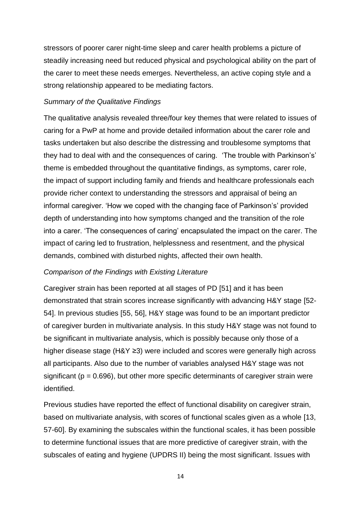stressors of poorer carer night-time sleep and carer health problems a picture of steadily increasing need but reduced physical and psychological ability on the part of the carer to meet these needs emerges. Nevertheless, an active coping style and a strong relationship appeared to be mediating factors.

### *Summary of the Qualitative Findings*

The qualitative analysis revealed three/four key themes that were related to issues of caring for a PwP at home and provide detailed information about the carer role and tasks undertaken but also describe the distressing and troublesome symptoms that they had to deal with and the consequences of caring. 'The trouble with Parkinson's' theme is embedded throughout the quantitative findings, as symptoms, carer role, the impact of support including family and friends and healthcare professionals each provide richer context to understanding the stressors and appraisal of being an informal caregiver. 'How we coped with the changing face of Parkinson's' provided depth of understanding into how symptoms changed and the transition of the role into a carer. 'The consequences of caring' encapsulated the impact on the carer. The impact of caring led to frustration, helplessness and resentment, and the physical demands, combined with disturbed nights, affected their own health.

#### *Comparison of the Findings with Existing Literature*

Caregiver strain has been reported at all stages of PD [51] and it has been demonstrated that strain scores increase significantly with advancing H&Y stage [52- 54]. In previous studies [55, 56], H&Y stage was found to be an important predictor of caregiver burden in multivariate analysis. In this study H&Y stage was not found to be significant in multivariate analysis, which is possibly because only those of a higher disease stage (H&Y ≥3) were included and scores were generally high across all participants. Also due to the number of variables analysed H&Y stage was not significant ( $p = 0.696$ ), but other more specific determinants of caregiver strain were identified.

Previous studies have reported the effect of functional disability on caregiver strain, based on multivariate analysis, with scores of functional scales given as a whole [13, 57-60]. By examining the subscales within the functional scales, it has been possible to determine functional issues that are more predictive of caregiver strain, with the subscales of eating and hygiene (UPDRS II) being the most significant. Issues with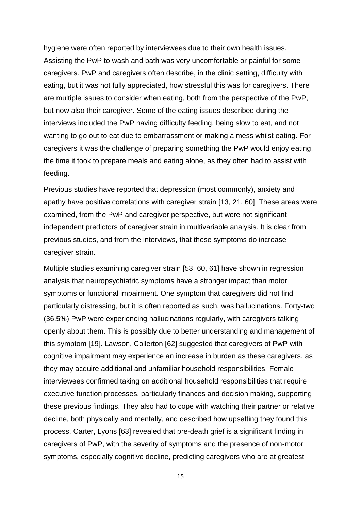hygiene were often reported by interviewees due to their own health issues. Assisting the PwP to wash and bath was very uncomfortable or painful for some caregivers. PwP and caregivers often describe, in the clinic setting, difficulty with eating, but it was not fully appreciated, how stressful this was for caregivers. There are multiple issues to consider when eating, both from the perspective of the PwP, but now also their caregiver. Some of the eating issues described during the interviews included the PwP having difficulty feeding, being slow to eat, and not wanting to go out to eat due to embarrassment or making a mess whilst eating. For caregivers it was the challenge of preparing something the PwP would enjoy eating, the time it took to prepare meals and eating alone, as they often had to assist with feeding.

Previous studies have reported that depression (most commonly), anxiety and apathy have positive correlations with caregiver strain [13, 21, 60]. These areas were examined, from the PwP and caregiver perspective, but were not significant independent predictors of caregiver strain in multivariable analysis. It is clear from previous studies, and from the interviews, that these symptoms do increase caregiver strain.

Multiple studies examining caregiver strain [53, 60, 61] have shown in regression analysis that neuropsychiatric symptoms have a stronger impact than motor symptoms or functional impairment. One symptom that caregivers did not find particularly distressing, but it is often reported as such, was hallucinations. Forty-two (36.5%) PwP were experiencing hallucinations regularly, with caregivers talking openly about them. This is possibly due to better understanding and management of this symptom [19]. Lawson, Collerton [62] suggested that caregivers of PwP with cognitive impairment may experience an increase in burden as these caregivers, as they may acquire additional and unfamiliar household responsibilities. Female interviewees confirmed taking on additional household responsibilities that require executive function processes, particularly finances and decision making, supporting these previous findings. They also had to cope with watching their partner or relative decline, both physically and mentally, and described how upsetting they found this process. Carter, Lyons [63] revealed that pre-death grief is a significant finding in caregivers of PwP, with the severity of symptoms and the presence of non-motor symptoms, especially cognitive decline, predicting caregivers who are at greatest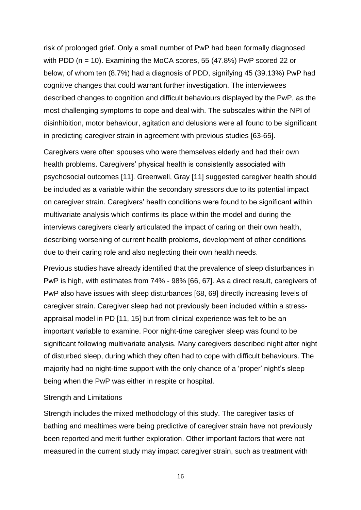risk of prolonged grief. Only a small number of PwP had been formally diagnosed with PDD (n = 10). Examining the MoCA scores, 55 (47.8%) PwP scored 22 or below, of whom ten (8.7%) had a diagnosis of PDD, signifying 45 (39.13%) PwP had cognitive changes that could warrant further investigation. The interviewees described changes to cognition and difficult behaviours displayed by the PwP, as the most challenging symptoms to cope and deal with. The subscales within the NPI of disinhibition, motor behaviour, agitation and delusions were all found to be significant in predicting caregiver strain in agreement with previous studies [63-65].

Caregivers were often spouses who were themselves elderly and had their own health problems. Caregivers' physical health is consistently associated with psychosocial outcomes [11]. Greenwell, Gray [11] suggested caregiver health should be included as a variable within the secondary stressors due to its potential impact on caregiver strain. Caregivers' health conditions were found to be significant within multivariate analysis which confirms its place within the model and during the interviews caregivers clearly articulated the impact of caring on their own health, describing worsening of current health problems, development of other conditions due to their caring role and also neglecting their own health needs.

Previous studies have already identified that the prevalence of sleep disturbances in PwP is high, with estimates from 74% - 98% [66, 67]. As a direct result, caregivers of PwP also have issues with sleep disturbances [68, 69] directly increasing levels of caregiver strain. Caregiver sleep had not previously been included within a stressappraisal model in PD [11, 15] but from clinical experience was felt to be an important variable to examine. Poor night-time caregiver sleep was found to be significant following multivariate analysis. Many caregivers described night after night of disturbed sleep, during which they often had to cope with difficult behaviours. The majority had no night-time support with the only chance of a 'proper' night's sleep being when the PwP was either in respite or hospital.

#### Strength and Limitations

Strength includes the mixed methodology of this study. The caregiver tasks of bathing and mealtimes were being predictive of caregiver strain have not previously been reported and merit further exploration. Other important factors that were not measured in the current study may impact caregiver strain, such as treatment with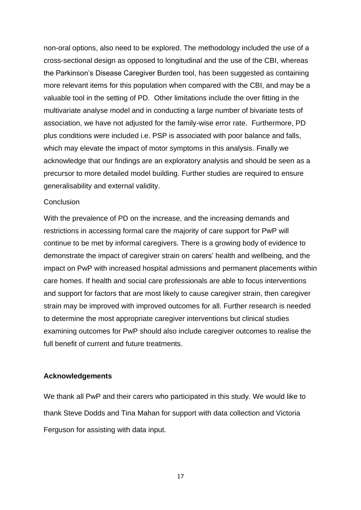non-oral options, also need to be explored. The methodology included the use of a cross-sectional design as opposed to longitudinal and the use of the CBI, whereas the Parkinson's Disease Caregiver Burden tool, has been suggested as containing more relevant items for this population when compared with the CBI, and may be a valuable tool in the setting of PD. Other limitations include the over fitting in the multivariate analyse model and in conducting a large number of bivariate tests of association, we have not adjusted for the family-wise error rate. Furthermore, PD plus conditions were included i.e. PSP is associated with poor balance and falls, which may elevate the impact of motor symptoms in this analysis. Finally we acknowledge that our findings are an exploratory analysis and should be seen as a precursor to more detailed model building. Further studies are required to ensure generalisability and external validity.

#### **Conclusion**

With the prevalence of PD on the increase, and the increasing demands and restrictions in accessing formal care the majority of care support for PwP will continue to be met by informal caregivers. There is a growing body of evidence to demonstrate the impact of caregiver strain on carers' health and wellbeing, and the impact on PwP with increased hospital admissions and permanent placements within care homes. If health and social care professionals are able to focus interventions and support for factors that are most likely to cause caregiver strain, then caregiver strain may be improved with improved outcomes for all. Further research is needed to determine the most appropriate caregiver interventions but clinical studies examining outcomes for PwP should also include caregiver outcomes to realise the full benefit of current and future treatments.

## **Acknowledgements**

We thank all PwP and their carers who participated in this study. We would like to thank Steve Dodds and Tina Mahan for support with data collection and Victoria Ferguson for assisting with data input.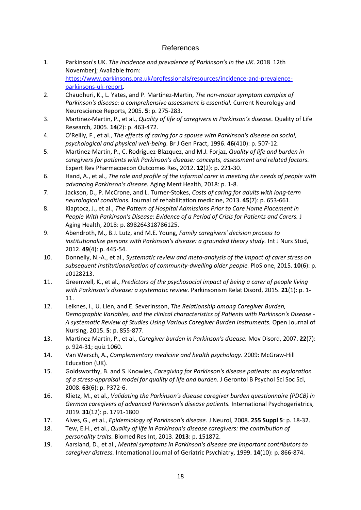### References

- 1. Parkinson's UK. *The incidence and prevalence of Parkinson's in the UK*. 2018 12th November]; Available from: [https://www.parkinsons.org.uk/professionals/resources/incidence-and-prevalence](https://www.parkinsons.org.uk/professionals/resources/incidence-and-prevalence-parkinsons-uk-report)[parkinsons-uk-report.](https://www.parkinsons.org.uk/professionals/resources/incidence-and-prevalence-parkinsons-uk-report)
- 2. Chaudhuri, K., L. Yates, and P. Martinez-Martin, *The non-motor symptom complex of Parkinson's disease: a comprehensive assessment is essential.* Current Neurology and Neuroscience Reports, 2005. **5**: p. 275-283.
- 3. Martinez-Martin, P., et al., *Quality of life of caregivers in Parkinson's disease.* Quality of Life Research, 2005. **14**(2): p. 463-472.
- 4. O'Reilly, F., et al., *The effects of caring for a spouse with Parkinson's disease on social, psychological and physical well-being.* Br J Gen Pract, 1996. **46**(410): p. 507-12.
- 5. Martinez-Martin, P., C. Rodriguez-Blazquez, and M.J. Forjaz, *Quality of life and burden in caregivers for patients with Parkinson's disease: concepts, assessment and related factors.* Expert Rev Pharmacoecon Outcomes Res, 2012. **12**(2): p. 221-30.
- 6. Hand, A., et al., *The role and profile of the informal carer in meeting the needs of people with advancing Parkinson's disease.* Aging Ment Health, 2018: p. 1-8.
- 7. Jackson, D., P. McCrone, and L. Turner-Stokes, *Costs of caring for adults with long-term neurological conditions.* Journal of rehabilitation medicine, 2013. **45**(7): p. 653-661.
- 8. Klaptocz, J., et al., *The Pattern of Hospital Admissions Prior to Care Home Placement in People With Parkinson's Disease: Evidence of a Period of Crisis for Patients and Carers.* J Aging Health, 2018: p. 898264318786125.
- 9. Abendroth, M., B.J. Lutz, and M.E. Young, *Family caregivers' decision process to institutionalize persons with Parkinson's disease: a grounded theory study.* Int J Nurs Stud, 2012. **49**(4): p. 445-54.
- 10. Donnelly, N.-A., et al., *Systematic review and meta-analysis of the impact of carer stress on subsequent institutionalisation of community-dwelling older people.* PloS one, 2015. **10**(6): p. e0128213.
- 11. Greenwell, K., et al., *Predictors of the psychosocial impact of being a carer of people living with Parkinson's disease: a systematic review.* Parkinsonism Relat Disord, 2015. **21**(1): p. 1- 11.
- 12. Leiknes, I., U. Lien, and E. Severinsson, *The Relationship among Caregiver Burden, Demographic Variables, and the clinical characteristics of Patients with Parkinson's Disease - A systematic Review of Studies Using Various Caregiver Burden Instruments.* Open Journal of Nursing, 2015. **5**: p. 855-877.
- 13. Martinez-Martin, P., et al., *Caregiver burden in Parkinson's disease.* Mov Disord, 2007. **22**(7): p. 924-31; quiz 1060.
- 14. Van Wersch, A., *Complementary medicine and health psychology*. 2009: McGraw-Hill Education (UK).
- 15. Goldsworthy, B. and S. Knowles, *Caregiving for Parkinson's disease patients: an exploration of a stress-appraisal model for quality of life and burden.* J Gerontol B Psychol Sci Soc Sci, 2008. **63**(6): p. P372-6.
- 16. Klietz, M., et al., *Validating the Parkinson's disease caregiver burden questionnaire (PDCB) in German caregivers of advanced Parkinson's disease patients.* International Psychogeriatrics, 2019. **31**(12): p. 1791-1800
- 17. Alves, G., et al., *Epidemiology of Parkinson's disease.* J Neurol, 2008. **255 Suppl 5**: p. 18-32.
- 18. Tew, E.H., et al., *Quality of life in Parkinson's disease caregivers: the contribution of personality traits.* Biomed Res Int, 2013. **2013**: p. 151872.
- 19. Aarsland, D., et al., *Mental symptoms in Parkinson's disease are important contributors to caregiver distress.* International Journal of Geriatric Psychiatry, 1999. **14**(10): p. 866-874.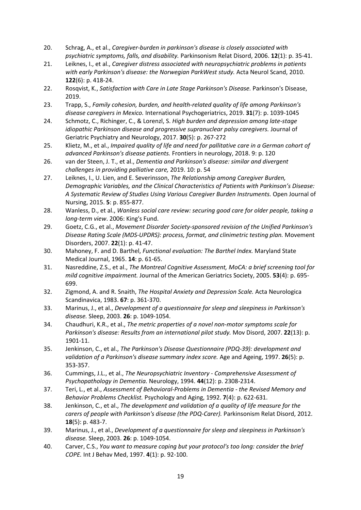- 20. Schrag, A., et al., *Caregiver-burden in parkinson's disease is closely associated with psychiatric symptoms, falls, and disability.* Parkinsonism Relat Disord, 2006. **12**(1): p. 35-41.
- 21. Leiknes, I., et al., *Caregiver distress associated with neuropsychiatric problems in patients with early Parkinson's disease: the Norwegian ParkWest study.* Acta Neurol Scand, 2010. **122**(6): p. 418-24.
- 22. Rosqvist, K., *Satisfaction with Care in Late Stage Parkinson's Disease.* Parkinson's Disease, 2019.
- 23. Trapp, S., *Family cohesion, burden, and health-related quality of life among Parkinson's disease caregivers in Mexico.* International Psychogeriatrics, 2019. **31**(7): p. 1039-1045
- 24. Schmotz, C., Richinger, C., & Lorenzl, S. *High burden and depression among late-stage idiopathic Parkinson disease and progressive supranuclear palsy caregivers. Journal of* Geriatric Psychiatry and Neurology, 2017. **30**(5): p. 267-272
- 25. Klietz, M., et al., *Impaired quality of life and need for pallitative care in a German cohort of advanced Parkinson's disease patients.* Frontiers in neurology, 2018. 9: p. 120
- 26. van der Steen, J. T., et al., *Dementia and Parkinson's disease: similar and divergent challenges in providing palliative care,* 2019. 10: p. 54
- 27. Leiknes, I., U. Lien, and E. Severinsson, *The Relationship among Caregiver Burden, Demographic Variables, and the Clinical Characteristics of Patients with Parkinson's Disease: A Systematic Review of Studies Using Various Caregiver Burden Instruments.* Open Journal of Nursing, 2015. **5**: p. 855-877.
- 28. Wanless, D., et al., *Wanless social care review: securing good care for older people, taking a long-term view*. 2006: King's Fund.
- 29. Goetz, C.G., et al., *Movement Disorder Society‐sponsored revision of the Unified Parkinson's Disease Rating Scale (MDS‐UPDRS): process, format, and clinimetric testing plan.* Movement Disorders, 2007. **22**(1): p. 41-47.
- 30. Mahoney, F. and D. Barthel, *Functional evaluation: The Barthel Index.* Maryland State Medical Journal, 1965. **14**: p. 61-65.
- 31. Nasreddine, Z.S., et al., *The Montreal Cognitive Assessment, MoCA: a brief screening tool for mild cognitive impairment.* Journal of the American Geriatrics Society, 2005. **53**(4): p. 695- 699.
- 32. Zigmond, A. and R. Snaith, *The Hospital Anxiety and Depression Scale.* Acta Neurologica Scandinavica, 1983. **67**: p. 361-370.
- 33. Marinus, J., et al., *Development of a questionnaire for sleep and sleepiness in Parkinson's disease.* Sleep, 2003. **26**: p. 1049-1054.
- 34. Chaudhuri, K.R., et al., *The metric properties of a novel non-motor symptoms scale for Parkinson's disease: Results from an international pilot study.* Mov Disord, 2007. **22**(13): p. 1901-11.
- 35. Jenkinson, C., et al., *The Parkinson's Disease Questionnaire (PDQ-39): development and validation of a Parkinson's disease summary index score.* Age and Ageing, 1997. **26**(5): p. 353-357.
- 36. Cummings, J.L., et al., *The Neuropsychiatric Inventory - Comprehensive Assessment of Psychopathology in Dementia.* Neurology, 1994. **44**(12): p. 2308-2314.
- 37. Teri, L., et al., *Assessment of Behavioral-Problems in Dementia - the Revised Memory and Behavior Problems Checklist.* Psychology and Aging, 1992. **7**(4): p. 622-631.
- 38. Jenkinson, C., et al., *The development and validation of a quality of life measure for the carers of people with Parkinson's disease (the PDQ-Carer).* Parkinsonism Relat Disord, 2012. **18**(5): p. 483-7.
- 39. Marinus, J., et al., *Development of a questionnaire for sleep and sleepiness in Parkinson's disease.* Sleep, 2003. **26**: p. 1049-1054.
- 40. Carver, C.S., *You want to measure coping but your protocol's too long: consider the brief COPE.* Int J Behav Med, 1997. **4**(1): p. 92-100.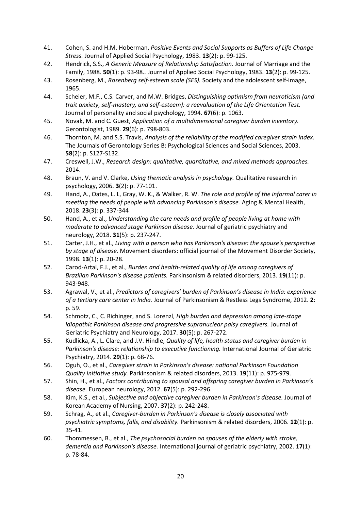- 41. Cohen, S. and H.M. Hoberman, *Positive Events and Social Supports as Buffers of Life Change Stress.* Journal of Applied Social Psychology, 1983. **13**(2): p. 99-125.
- 42. Hendrick, S.S., *A Generic Measure of Relationship Satisfaction.* Journal of Marriage and the Family, 1988. **50**(1): p. 93-98.*.* Journal of Applied Social Psychology, 1983. **13**(2): p. 99-125.
- 43. Rosenberg, M., *Rosenberg self-esteem scale (SES).* Society and the adolescent self-image, 1965.
- 44. Scheier, M.F., C.S. Carver, and M.W. Bridges, *Distinguishing optimism from neuroticism (and trait anxiety, self-mastery, and self-esteem): a reevaluation of the Life Orientation Test.* Journal of personality and social psychology, 1994. **67**(6): p. 1063.
- 45. Novak, M. and C. Guest, *Application of a multidimensional caregiver burden inventory.* Gerontologist, 1989. **29**(6): p. 798-803.
- 46. Thornton, M. and S.S. Travis, *Analysis of the reliability of the modified caregiver strain index.* The Journals of Gerontology Series B: Psychological Sciences and Social Sciences, 2003. **58**(2): p. S127-S132.
- 47. Creswell, J.W., *Research design: qualitative, quantitative, and mixed methods approaches.* 2014.
- 48. Braun, V. and V. Clarke, *Using thematic analysis in psychology.* Qualitative research in psychology, 2006. **3**(2): p. 77-101.
- 49. Hand, A., Oates, L. L, Gray, W. K., & Walker, R. W. *The role and profile of the informal carer in meeting the needs of people with advancing Parkinson's disease.* Aging & Mental Health, 2018. **23**(3): p. 337-344
- 50. Hand, A., et al., *Understanding the care needs and profile of people living at home with moderate to advanced stage Parkinson disease.* Journal of geriatric psychiatry and neurology, 2018. **31**(5): p. 237-247.
- 51. Carter, J.H., et al., *Living with a person who has Parkinson's disease: the spouse's perspective by stage of disease.* Movement disorders: official journal of the Movement Disorder Society, 1998. **13**(1): p. 20-28.
- 52. Carod-Artal, F.J., et al., *Burden and health-related quality of life among caregivers of Brazilian Parkinson's disease patients.* Parkinsonism & related disorders, 2013. **19**(11): p. 943-948.
- 53. Agrawal, V., et al., *Predictors of caregivers' burden of Parkinson's disease in India: experience of a tertiary care center in India.* Journal of Parkinsonism & Restless Legs Syndrome, 2012. **2**: p. 59.
- 54. Schmotz, C., C. Richinger, and S. Lorenzl, *High burden and depression among late-stage idiopathic Parkinson disease and progressive supranuclear palsy caregivers.* Journal of Geriatric Psychiatry and Neurology, 2017. **30**(5): p. 267-272.
- 55. Kudlicka, A., L. Clare, and J.V. Hindle, *Quality of life, health status and caregiver burden in Parkinson's disease: relationship to executive functioning.* International Journal of Geriatric Psychiatry, 2014. **29**(1): p. 68-76.
- 56. Oguh, O., et al., *Caregiver strain in Parkinson's disease: national Parkinson Foundation Quality Initiative study.* Parkinsonism & related disorders, 2013. **19**(11): p. 975-979.
- 57. Shin, H., et al., *Factors contributing to spousal and offspring caregiver burden in Parkinson's disease.* European neurology, 2012. **67**(5): p. 292-296.
- 58. Kim, K.S., et al., *Subjective and objective caregiver burden in Parkinson's disease.* Journal of Korean Academy of Nursing, 2007. **37**(2): p. 242-248.
- 59. Schrag, A., et al., *Caregiver-burden in Parkinson's disease is closely associated with psychiatric symptoms, falls, and disability.* Parkinsonism & related disorders, 2006. **12**(1): p. 35-41.
- 60. Thommessen, B., et al., *The psychosocial burden on spouses of the elderly with stroke, dementia and Parkinson's disease.* International journal of geriatric psychiatry, 2002. **17**(1): p. 78-84.